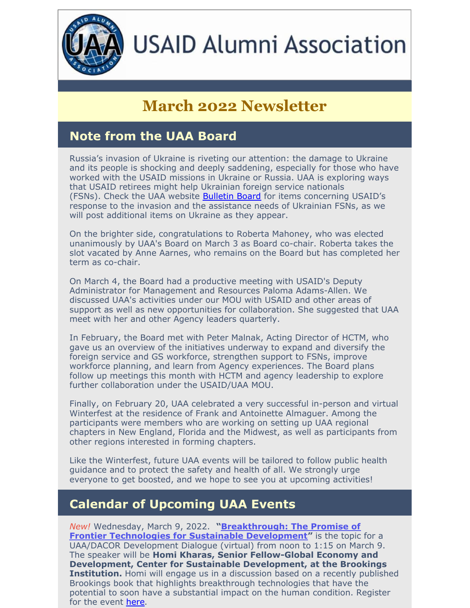

# **USAID Alumni Association**

# **March 2022 Newsletter**

## **Note from the UAA Board**

Russia's invasion of Ukraine is riveting our attention: the damage to Ukraine and its people is shocking and deeply saddening, especially for those who have worked with the USAID missions in Ukraine or Russia. UAA is exploring ways that USAID retirees might help Ukrainian foreign service nationals (FSNs). Check the UAA website [Bulletin](https://usaidalumni.org/uaa-forum/) Board for items concerning USAID's response to the invasion and the assistance needs of Ukrainian FSNs, as we will post additional items on Ukraine as they appear.

On the brighter side, congratulations to Roberta Mahoney, who was elected unanimously by UAA's Board on March 3 as Board co-chair. Roberta takes the slot vacated by Anne Aarnes, who remains on the Board but has completed her term as co-chair.

On March 4, the Board had a productive meeting with USAID's Deputy Administrator for Management and Resources Paloma Adams-Allen. We discussed UAA's activities under our MOU with USAID and other areas of support as well as new opportunities for collaboration. She suggested that UAA meet with her and other Agency leaders quarterly.

In February, the Board met with Peter Malnak, Acting Director of HCTM, who gave us an overview of the initiatives underway to expand and diversify the foreign service and GS workforce, strengthen support to FSNs, improve workforce planning, and learn from Agency experiences. The Board plans follow up meetings this month with HCTM and agency leadership to explore further collaboration under the USAID/UAA MOU.

Finally, on February 20, UAA celebrated a very successful in-person and virtual Winterfest at the residence of Frank and Antoinette Almaguer. Among the participants were members who are working on setting up UAA regional chapters in New England, Florida and the Midwest, as well as participants from other regions interested in forming chapters.

Like the Winterfest, future UAA events will be tailored to follow public health guidance and to protect the safety and health of all. We strongly urge everyone to get boosted, and we hope to see you at upcoming activities!

## **Calendar of Upcoming UAA Events**

*New!* Wednesday, March 9, 2022. **["Breakthrough:](https://www.brookings.edu/blog/future-development/2022/01/18/breakthrough-the-promise-of-frontier-technologies-for-sustainable-development/) The Promise of Frontier Technologies for Sustainable Development"** is the topic for a UAA/DACOR Development Dialogue (virtual) from noon to 1:15 on March 9. The speaker will be **Homi Kharas, Senior Fellow-Global Economy and Development, Center for Sustainable Development, at the Brookings Institution.** Homi will engage us in a discussion based on a recently published Brookings book that highlights breakthrough technologies that have the potential to soon have a substantial impact on the human condition. Register for the event [here](https://mms.dacorbacon.org/Calendar/moreinfo.php?eventid=36741).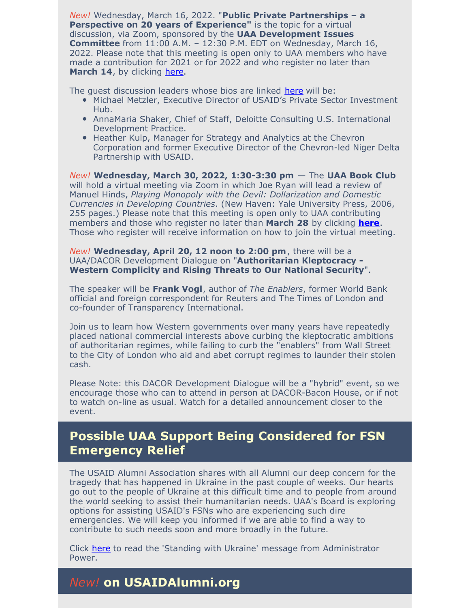*New!* Wednesday, March 16, 2022. "**Public Private Partnerships – a Perspective on 20 years of Experience"** is the topic for a virtual discussion, via Zoom, sponsored by the **UAA Development Issues Committee** from 11:00 A.M. – 12:30 P.M. EDT on Wednesday, March 16, 2022. Please note that this meeting is open only to UAA members who have made a contribution for 2021 or for 2022 and who register no later than **March 14**, by clicking [here](https://conta.cc/3MaHRf2).

The quest discussion leaders whose bios are linked [here](https://usaidalumni.org/development-issues-committee-march-16-2022-speaker-bios/) will be:

- Michael Metzler, Executive Director of USAID's Private Sector Investment Hub.
- AnnaMaria Shaker, Chief of Staff, Deloitte Consulting U.S. International Development Practice.
- **Heather Kulp, Manager for Strategy and Analytics at the Chevron** Corporation and former Executive Director of the Chevron-led Niger Delta Partnership with USAID.

*New!* **Wednesday, March 30, 2022, 1:30-3:30 pm** — The **UAA Book Club** will hold a virtual meeting via Zoom in which Joe Ryan will lead a review of Manuel Hinds, *Playing Monopoly with the Devil: Dollarization and Domestic Currencies in Developing Countries*. (New Haven: Yale University Press, 2006, 255 pages.) Please note that this meeting is open only to UAA contributing members and those who register no later than **March 28** by clicking **[here](https://conta.cc/3sTDUEh)**. Those who register will receive information on how to join the virtual meeting.

*New!* **Wednesday, April 20, 12 noon to 2:00 pm**, there will be a UAA/DACOR Development Dialogue on "**Authoritarian Kleptocracy - Western Complicity and Rising Threats to Our National Security**".

The speaker will be **Frank Vogl**, author of *The Enablers*, former World Bank official and foreign correspondent for Reuters and The Times of London and co-founder of Transparency International.

Join us to learn how Western governments over many years have repeatedly placed national commercial interests above curbing the kleptocratic ambitions of authoritarian regimes, while failing to curb the "enablers" from Wall Street to the City of London who aid and abet corrupt regimes to launder their stolen cash.

Please Note: this DACOR Development Dialogue will be a "hybrid" event, so we encourage those who can to attend in person at DACOR-Bacon House, or if not to watch on-line as usual. Watch for a detailed announcement closer to the event.

## **Possible UAA Support Being Considered for FSN Emergency Relief**

The USAID Alumni Association shares with all Alumni our deep concern for the tragedy that has happened in Ukraine in the past couple of weeks. Our hearts go out to the people of Ukraine at this difficult time and to people from around the world seeking to assist their humanitarian needs. UAA's Board is exploring options for assisting USAID's FSNs who are experiencing such dire emergencies. We will keep you informed if we are able to find a way to contribute to such needs soon and more broadly in the future.

Click [here](https://usaidalumni.org/wp-content/uploads/2022/02/AIDA-Notice-re-Ukraine-1.pdf) to read the 'Standing with Ukraine' message from Administrator Power.

### *New!* **on USAIDAlumni.org**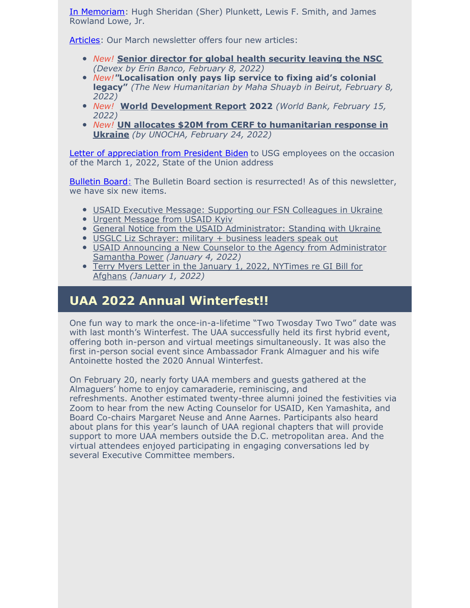In [Memoriam:](https://www.usaidalumni.org/tribute/) Hugh Sheridan (Sher) Plunkett, Lewis F. Smith, and James Rowland Lowe, Jr.

[Articles](https://usaidalumni.org/development-issues/articles/): Our March newsletter offers four new articles:

- *New!* **Senior director for global health [security](https://www.politico.com/news/2022/02/08/senior-director-global-health-security-leaving-00006912?mkt_tok=Njg1LUtCTC03NjUAAAGCfVZXbqTRxJg3I4mMsKnAdr9EglcHmEBYB7F18E2q7vqDf-CfrcnfqtZQnTIrCTG7-QTyMTrV__QJ94LPJtDU8dgP97aom9yjOzU6hX9i6uQ2lQ) leaving the NSC** *(Devex by Erin Banco, February 8, 2022)*
- *New!"***Localisation only pays lip service to fixing aid's colonial legacy"** *(The New Humanitarian by Maha Shuayb in Beirut, February 8, 2022)*
- *New!* **[World](https://openknowledge.worldbank.org/bitstream/handle/10986/36883/9781464817304.pdf) [Development](https://openknowledge.worldbank.org/bitstream/handle/10986/36883/9781464817304.pdf) Report 2022** *(World Bank, February 15, 2022)*
- *New!* **UN allocates \$20M from CERF to [humanitarian](https://www.unocha.org/story/un-allocates-20m-cerf-humanitarian-response-ukraine?mkt_tok=Njg1LUtCTC03NjUAAAGCz7sEle0B6qSUoq49hvihBNb35hjbNAYWv0bxDb69mN0mmCsm5WkACIwHTWzZXxoOxc5emcJC-fLCAMf0gmbPuEV096iAJstJmNC44_3_GbxNkw) response in Ukraine** *(by UNOCHA, February 24, 2022)*

Letter of [appreciation](https://usaidalumni.org/wp-content/uploads/2022/03/BidenLetter.pdf) from President Biden to USG employees on the occasion of the March 1, 2022, State of the Union address

Bulletin Board: The Bulletin Board section is resurrected! As of this newsletter, we have six new items.

- USAID Executive Message: [Supporting](https://usaidalumni.org/wp-content/uploads/2022/02/PalomaAdam-AllenNotice.pdf) our FSN Colleagues in Ukraine
- Urgent [Message](https://usaidalumni.org/wp-content/uploads/2022/02/KyivMessageFSOs.pdf) from USAID Kyiv
- General Notice from the USAID [Administrator:](https://usaidalumni.org/wp-content/uploads/2022/02/AIDA-Notice-re-Ukraine-1.pdf) Standing with Ukraine
- USGLC Liz [Schrayer:](https://usaidalumni.org/usglc-liz-schrayer-military-business-leaders-speak-out-4/) military + business leaders speak out
- USAID Announcing a New Counselor to the Agency from [Administrator](https://usaidalumni.org/usaid-announcing-a-new-counselor-to-the-agency-from-administrator-samantha-power-january-4-2022/) Samantha Power *(January 4, 2022)*
- Terry Myers Letter in the January 1, 2022, [NYTimes](https://usaidalumni.org/terry-myers-letter-in-january-1-2022-nytimes-re-gi-bill-for-afghans/) re GI Bill for Afghans *(January 1, 2022)*

## **UAA 2022 Annual Winterfest!!**

One fun way to mark the once-in-a-lifetime "Two Twosday Two Two" date was with last month's Winterfest. The UAA successfully held its first hybrid event, offering both in-person and virtual meetings simultaneously. It was also the first in-person social event since Ambassador Frank Almaguer and his wife Antoinette hosted the 2020 Annual Winterfest.

On February 20, nearly forty UAA members and guests gathered at the Almaguers' home to enjoy camaraderie, reminiscing, and refreshments. Another estimated twenty-three alumni joined the festivities via Zoom to hear from the new Acting Counselor for USAID, Ken Yamashita, and Board Co-chairs Margaret Neuse and Anne Aarnes. Participants also heard about plans for this year's launch of UAA regional chapters that will provide support to more UAA members outside the D.C. metropolitan area. And the virtual attendees enjoyed participating in engaging conversations led by several Executive Committee members.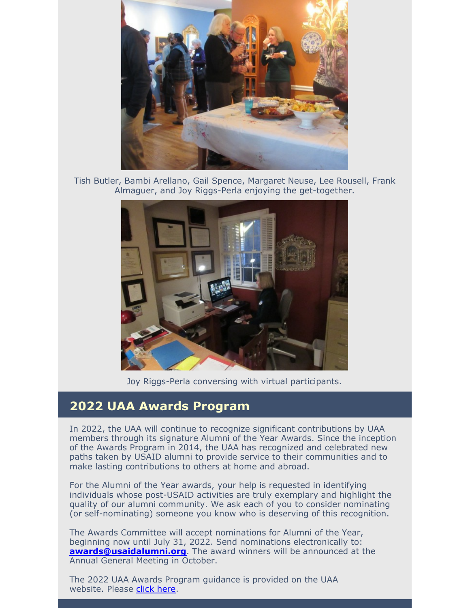

Tish Butler, Bambi Arellano, Gail Spence, Margaret Neuse, Lee Rousell, Frank Almaguer, and Joy Riggs-Perla enjoying the get-together.



Joy Riggs-Perla conversing with virtual participants.

#### **2022 UAA Awards Program**

In 2022, the UAA will continue to recognize significant contributions by UAA members through its signature Alumni of the Year Awards. Since the inception of the Awards Program in 2014, the UAA has recognized and celebrated new paths taken by USAID alumni to provide service to their communities and to make lasting contributions to others at home and abroad.

For the Alumni of the Year awards, your help is requested in identifying individuals whose post-USAID activities are truly exemplary and highlight the quality of our alumni community. We ask each of you to consider nominating (or self-nominating) someone you know who is deserving of this recognition.

The Awards Committee will accept nominations for Alumni of the Year, beginning now until July 31, 2022. Send nominations electronically to: **[awards@usaidalumni.org](mailto:awards@usaidalumni.org)**. The award winners will be announced at the Annual General Meeting in October.

The 2022 UAA Awards Program guidance is provided on the UAA website. Please [click](https://usaidalumni.org/guidance-for-the-2022-uaa-alumni-of-the-year-awards/) here.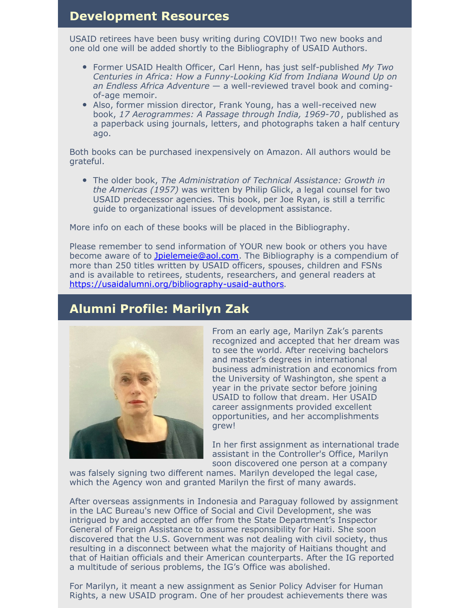## **Development Resources**

USAID retirees have been busy writing during COVID!! Two new books and one old one will be added shortly to the Bibliography of USAID Authors.

- Former USAID Health Officer, Carl Henn, has just self-published *My Two Centuries in Africa: How a Funny-Looking Kid from Indiana Wound Up on an Endless Africa Adventure* — a well-reviewed travel book and comingof-age memoir.
- Also, former mission director, Frank Young, has a well-received new book, *17 Aerogrammes: A Passage through India, 1969-70*, published as a paperback using journals, letters, and photographs taken a half century ago.

Both books can be purchased inexpensively on Amazon. All authors would be grateful.

The older book, *The Administration of Technical Assistance: Growth in the Americas (1957)* was written by Philip Glick, a legal counsel for two USAID predecessor agencies. This book, per Joe Ryan, is still a terrific guide to organizational issues of development assistance.

More info on each of these books will be placed in the Bibliography.

Please remember to send information of YOUR new book or others you have become aware of to [Jpielemeie@aol.com](mailto:Jpielemeie@aol.com). The Bibliography is a compendium of more than 250 titles written by USAID officers, spouses, children and FSNs and is available to retirees, students, researchers, and general readers at [https://usaidalumni.org/bibliography-usaid-authors](https://usaidalumni.org/bibliography-usaid-authors/).

#### **Alumni Profile: Marilyn Zak**



From an early age, Marilyn Zak's parents recognized and accepted that her dream was to see the world. After receiving bachelors and master's degrees in international business administration and economics from the University of Washington, she spent a year in the private sector before joining USAID to follow that dream. Her USAID career assignments provided excellent opportunities, and her accomplishments grew!

In her first assignment as international trade assistant in the Controller's Office, Marilyn soon discovered one person at a company

was falsely signing two different names. Marilyn developed the legal case, which the Agency won and granted Marilyn the first of many awards.

After overseas assignments in Indonesia and Paraguay followed by assignment in the LAC Bureau's new Office of Social and Civil Development, she was intrigued by and accepted an offer from the State Department's Inspector General of Foreign Assistance to assume responsibility for Haiti. She soon discovered that the U.S. Government was not dealing with civil society, thus resulting in a disconnect between what the majority of Haitians thought and that of Haitian officials and their American counterparts. After the IG reported a multitude of serious problems, the IG's Office was abolished.

For Marilyn, it meant a new assignment as Senior Policy Adviser for Human Rights, a new USAID program. One of her proudest achievements there was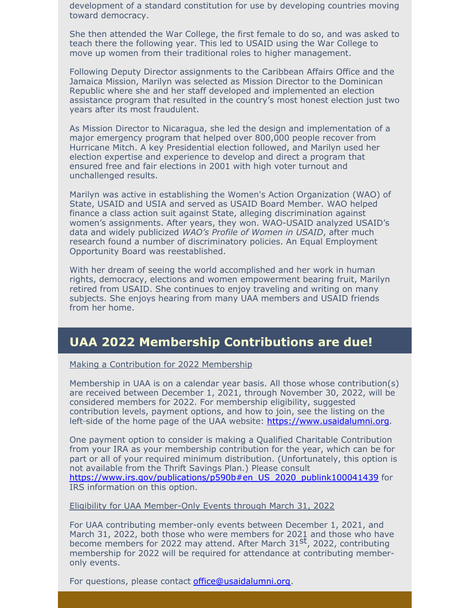development of a standard constitution for use by developing countries moving toward democracy.

She then attended the War College, the first female to do so, and was asked to teach there the following year. This led to USAID using the War College to move up women from their traditional roles to higher management.

Following Deputy Director assignments to the Caribbean Affairs Office and the Jamaica Mission, Marilyn was selected as Mission Director to the Dominican Republic where she and her staff developed and implemented an election assistance program that resulted in the country's most honest election just two years after its most fraudulent.

As Mission Director to Nicaragua, she led the design and implementation of a major emergency program that helped over 800,000 people recover from Hurricane Mitch. A key Presidential election followed, and Marilyn used her election expertise and experience to develop and direct a program that ensured free and fair elections in 2001 with high voter turnout and unchallenged results.

Marilyn was active in establishing the Women's Action Organization (WAO) of State, USAID and USIA and served as USAID Board Member. WAO helped finance a class action suit against State, alleging discrimination against women's assignments. After years, they won. WAO-USAID analyzed USAID's data and widely publicized *WAO's Profile of Women in USAID*, after much research found a number of discriminatory policies. An Equal Employment Opportunity Board was reestablished.

With her dream of seeing the world accomplished and her work in human rights, democracy, elections and women empowerment bearing fruit, Marilyn retired from USAID. She continues to enjoy traveling and writing on many subjects. She enjoys hearing from many UAA members and USAID friends from her home.

#### **UAA 2022 Membership Contributions are due!**

Making a Contribution for 2022 Membership

Membership in UAA is on a calendar year basis. All those whose contribution(s) are received between December 1, 2021, through November 30, 2022, will be considered members for 2022. For membership eligibility, suggested contribution levels, payment options, and how to join, see the listing on the left-side of the home page of the UAA website: [https://www.usaidalumni.org](https://www.usaidalumni.org/).

One payment option to consider is making a Qualified Charitable Contribution from your IRA as your membership contribution for the year, which can be for part or all of your required minimum distribution. (Unfortunately, this option is not available from the Thrift Savings Plan.) Please consult [https://www.irs.gov/publications/p590b#en\\_US\\_2020\\_publink100041439](https://www.irs.gov/publications/p590b#en_US_2020_publink100041439) for IRS information on this option.

Eligibility for UAA Member-Only Events through March 31, 2022

For UAA contributing member-only events between December 1, 2021, and March 31, 2022, both those who were members for 2021 and those who have become members for 2022 may attend. After March 31<sup>st</sup>, 2022, contributing membership for 2022 will be required for attendance at contributing memberonly events.

For questions, please contact [office@usaidalumni.org](mailto:office@usaidalumni.org).